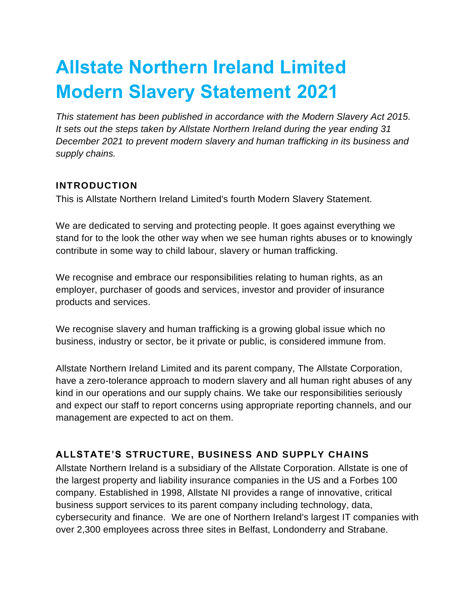# **Allstate Northern Ireland Limited Modern Slavery Statement 2021**

*This statement has been published in accordance with the Modern Slavery Act 2015. It sets out the steps taken by Allstate Northern Ireland during the year ending 31 December 2021 to prevent modern slavery and human trafficking in its business and supply chains.*

## **INTRODUCTION**

This is Allstate Northern Ireland Limited's fourth Modern Slavery Statement.

We are dedicated to serving and protecting people. It goes against everything we stand for to the look the other way when we see human rights abuses or to knowingly contribute in some way to child labour, slavery or human trafficking.

We recognise and embrace our responsibilities relating to human rights, as an employer, purchaser of goods and services, investor and provider of insurance products and services.

We recognise slavery and human trafficking is a growing global issue which no business, industry or sector, be it private or public, is considered immune from.

Allstate Northern Ireland Limited and its parent company, The Allstate Corporation, have a zero-tolerance approach to modern slavery and all human right abuses of any kind in our operations and our supply chains. We take our responsibilities seriously and expect our staff to report concerns using appropriate reporting channels, and our management are expected to act on them.

# **ALLSTATE'S STRUCTURE, BUSINESS AND SUPPLY CHAINS**

Allstate Northern Ireland is a subsidiary of the Allstate Corporation. Allstate is one of the largest property and liability insurance companies in the US and a Forbes 100 company. Established in 1998, Allstate NI provides a range of innovative, critical business support services to its parent company including technology, data, cybersecurity and finance. We are one of Northern Ireland's largest IT companies with over 2,300 employees across three sites in Belfast, Londonderry and Strabane.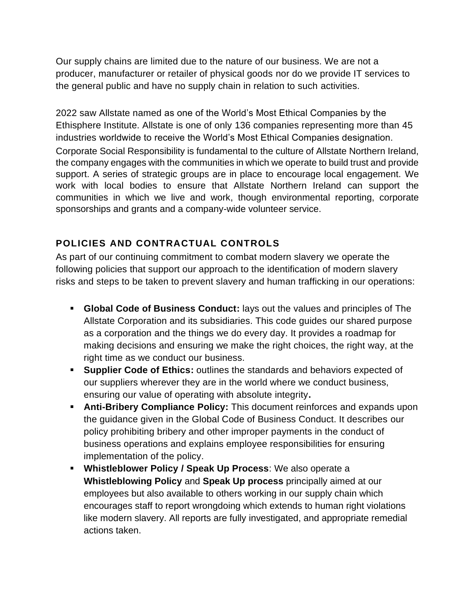Our supply chains are limited due to the nature of our business. We are not a producer, manufacturer or retailer of physical goods nor do we provide IT services to the general public and have no supply chain in relation to such activities.

2022 saw Allstate named as one of the World's Most Ethical Companies by the Ethisphere Institute. Allstate is one of only 136 companies representing more than 45 industries worldwide to receive the World's Most Ethical Companies designation. Corporate Social Responsibility is fundamental to the culture of Allstate Northern Ireland, the company engages with the communities in which we operate to build trust and provide support. A series of strategic groups are in place to encourage local engagement. We work with local bodies to ensure that Allstate Northern Ireland can support the communities in which we live and work, though environmental reporting, corporate sponsorships and grants and a company-wide volunteer service.

# **POLICIES AND CONTRACTUAL CONTROLS**

As part of our continuing commitment to combat modern slavery we operate the following policies that support our approach to the identification of modern slavery risks and steps to be taken to prevent slavery and human trafficking in our operations:

- **Global Code of Business Conduct:** lays out the values and principles of The Allstate Corporation and its subsidiaries. This code guides our shared purpose as a corporation and the things we do every day. It provides a roadmap for making decisions and ensuring we make the right choices, the right way, at the right time as we conduct our business.
- **Supplier Code of Ethics:** outlines the standards and behaviors expected of our suppliers wherever they are in the world where we conduct business, ensuring our value of operating with absolute integrity**.**
- **EXTER Anti-Bribery Compliance Policy:** This document reinforces and expands upon the guidance given in the Global Code of Business Conduct. It describes our policy prohibiting bribery and other improper payments in the conduct of business operations and explains employee responsibilities for ensuring implementation of the policy.
- **Whistleblower Policy / Speak Up Process**: We also operate a **Whistleblowing Policy** and **Speak Up process** principally aimed at our employees but also available to others working in our supply chain which encourages staff to report wrongdoing which extends to human right violations like modern slavery. All reports are fully investigated, and appropriate remedial actions taken.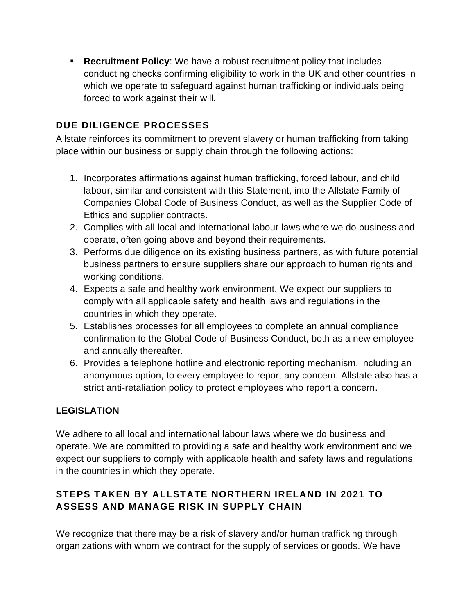▪ **Recruitment Policy**: We have a robust recruitment policy that includes conducting checks confirming eligibility to work in the UK and other countries in which we operate to safeguard against human trafficking or individuals being forced to work against their will.

#### **DUE DILIGENCE PROCESSES**

Allstate reinforces its commitment to prevent slavery or human trafficking from taking place within our business or supply chain through the following actions:

- 1. Incorporates affirmations against human trafficking, forced labour, and child labour, similar and consistent with this Statement, into the Allstate Family of Companies Global Code of Business Conduct, as well as the Supplier Code of Ethics and supplier contracts.
- 2. Complies with all local and international labour laws where we do business and operate, often going above and beyond their requirements.
- 3. Performs due diligence on its existing business partners, as with future potential business partners to ensure suppliers share our approach to human rights and working conditions.
- 4. Expects a safe and healthy work environment. We expect our suppliers to comply with all applicable safety and health laws and regulations in the countries in which they operate.
- 5. Establishes processes for all employees to complete an annual compliance confirmation to the Global Code of Business Conduct, both as a new employee and annually thereafter.
- 6. Provides a telephone hotline and electronic reporting mechanism, including an anonymous option, to every employee to report any concern. Allstate also has a strict anti-retaliation policy to protect employees who report a concern.

#### **LEGISLATION**

We adhere to all local and international labour laws where we do business and operate. We are committed to providing a safe and healthy work environment and we expect our suppliers to comply with applicable health and safety laws and regulations in the countries in which they operate.

## **STEPS TAKEN BY ALLSTATE NORTHERN IRELAND IN 2021 TO ASSESS AND MANAGE RISK IN SUPPLY CHAIN**

We recognize that there may be a risk of slavery and/or human trafficking through organizations with whom we contract for the supply of services or goods. We have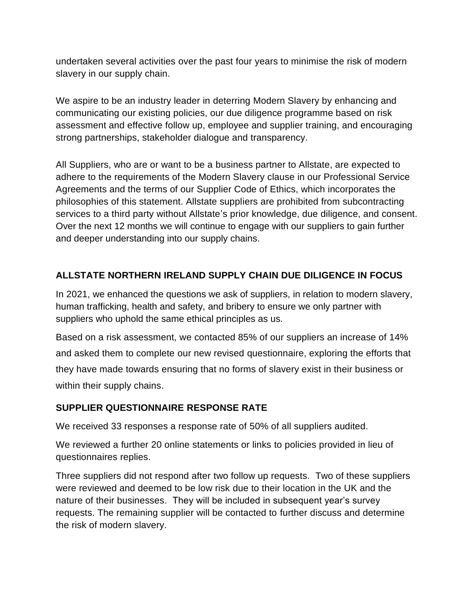undertaken several activities over the past four years to minimise the risk of modern slavery in our supply chain.

We aspire to be an industry leader in deterring Modern Slavery by enhancing and communicating our existing policies, our due diligence programme based on risk assessment and effective follow up, employee and supplier training, and encouraging strong partnerships, stakeholder dialogue and transparency.

All Suppliers, who are or want to be a business partner to Allstate, are expected to adhere to the requirements of the Modern Slavery clause in our Professional Service Agreements and the terms of our Supplier Code of Ethics, which incorporates the philosophies of this statement. Allstate suppliers are prohibited from subcontracting services to a third party without Allstate's prior knowledge, due diligence, and consent. Over the next 12 months we will continue to engage with our suppliers to gain further and deeper understanding into our supply chains.

## **ALLSTATE NORTHERN IRELAND SUPPLY CHAIN DUE DILIGENCE IN FOCUS**

In 2021, we enhanced the questions we ask of suppliers, in relation to modern slavery, human trafficking, health and safety, and bribery to ensure we only partner with suppliers who uphold the same ethical principles as us.

Based on a risk assessment, we contacted 85% of our suppliers an increase of 14% and asked them to complete our new revised questionnaire, exploring the efforts that they have made towards ensuring that no forms of slavery exist in their business or within their supply chains.

#### **SUPPLIER QUESTIONNAIRE RESPONSE RATE**

We received 33 responses a response rate of 50% of all suppliers audited.

We reviewed a further 20 online statements or links to policies provided in lieu of questionnaires replies.

Three suppliers did not respond after two follow up requests. Two of these suppliers were reviewed and deemed to be low risk due to their location in the UK and the nature of their businesses. They will be included in subsequent year's survey requests. The remaining supplier will be contacted to further discuss and determine the risk of modern slavery.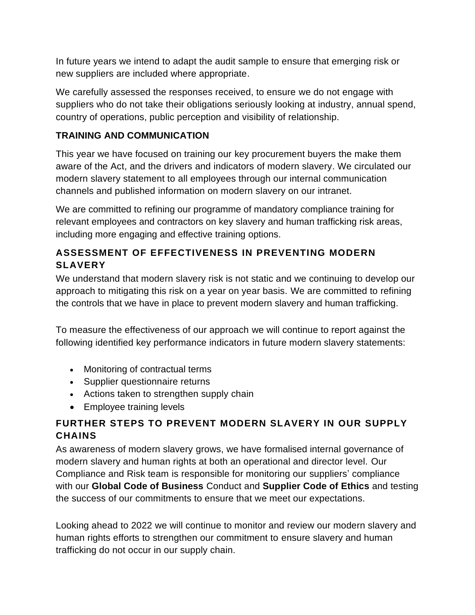In future years we intend to adapt the audit sample to ensure that emerging risk or new suppliers are included where appropriate.

We carefully assessed the responses received, to ensure we do not engage with suppliers who do not take their obligations seriously looking at industry, annual spend, country of operations, public perception and visibility of relationship.

#### **TRAINING AND COMMUNICATION**

This year we have focused on training our key procurement buyers the make them aware of the Act, and the drivers and indicators of modern slavery. We circulated our modern slavery statement to all employees through our internal communication channels and published information on modern slavery on our intranet.

We are committed to refining our programme of mandatory compliance training for relevant employees and contractors on key slavery and human trafficking risk areas, including more engaging and effective training options.

## **ASSESSMENT OF EFFECTIVENESS IN PREVENTING MODERN SLAVERY**

We understand that modern slavery risk is not static and we continuing to develop our approach to mitigating this risk on a year on year basis. We are committed to refining the controls that we have in place to prevent modern slavery and human trafficking.

To measure the effectiveness of our approach we will continue to report against the following identified key performance indicators in future modern slavery statements:

- Monitoring of contractual terms
- Supplier questionnaire returns
- Actions taken to strengthen supply chain
- Employee training levels

## **FURTHER STEPS TO PREVENT MODERN SLAVERY IN OUR SUPPLY CHAINS**

As awareness of modern slavery grows, we have formalised internal governance of modern slavery and human rights at both an operational and director level. Our Compliance and Risk team is responsible for monitoring our suppliers' compliance with our **Global Code of Business** Conduct and **Supplier Code of Ethics** and testing the success of our commitments to ensure that we meet our expectations.

Looking ahead to 2022 we will continue to monitor and review our modern slavery and human rights efforts to strengthen our commitment to ensure slavery and human trafficking do not occur in our supply chain.